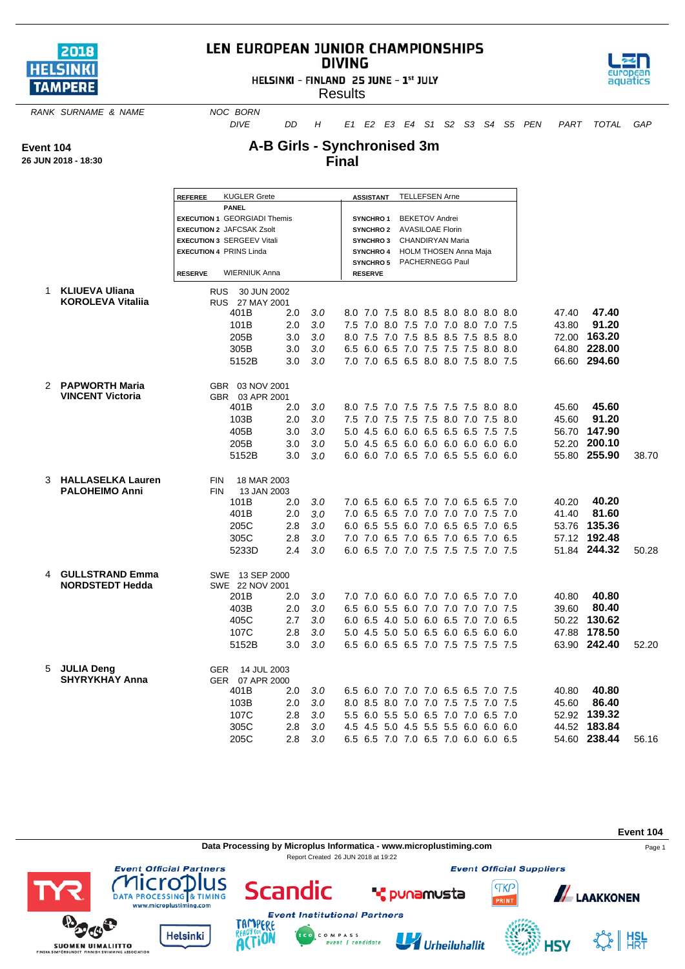

## LEN EUROPEAN JUNIOR CHAMPIONSHIPS **DIVING**

HELSINKI - FINLAND 25 JUNE - 1st JULY



**Results** 

**RANK SURNAME & NAME NOC BORN** 

*DIVE DD H E1 E2 E3 E4 S1 S2 S3 S4 S5 PEN PART TOTAL GAP*

**Event 104**

**26 JUN 2018 - 18:30**

## **A-B Girls - Synchronised 3m Final**

|   |                          | <b>REFEREE</b>  | <b>KUGLER Grete</b>                                                 |     |     |  |                  |  | ASSISTANT TELLEFSEN Arne  |                                     |  |       |              |       |
|---|--------------------------|-----------------|---------------------------------------------------------------------|-----|-----|--|------------------|--|---------------------------|-------------------------------------|--|-------|--------------|-------|
|   |                          |                 | <b>PANEL</b>                                                        |     |     |  |                  |  |                           |                                     |  |       |              |       |
|   |                          |                 | <b>EXECUTION 1 GEORGIADI Themis</b>                                 |     |     |  | <b>SYNCHRO1</b>  |  | <b>BEKETOV Andrei</b>     |                                     |  |       |              |       |
|   |                          |                 | <b>EXECUTION 2 JAFCSAK Zsolt</b>                                    |     |     |  | <b>SYNCHRO2</b>  |  | <b>AVASILOAE Florin</b>   |                                     |  |       |              |       |
|   |                          |                 | <b>EXECUTION 3 SERGEEV Vitali</b><br><b>EXECUTION 4 PRINS Linda</b> |     |     |  | <b>SYNCHRO3</b>  |  | CHANDIRYAN Maria          |                                     |  |       |              |       |
|   |                          |                 |                                                                     |     |     |  | <b>SYNCHRO 4</b> |  | SYNCHRO 5 PACHERNEGG Paul | HOLM THOSEN Anna Maja               |  |       |              |       |
|   |                          | <b>RESERVE</b>  | <b>WIERNIUK Anna</b>                                                |     |     |  | <b>RESERVE</b>   |  |                           |                                     |  |       |              |       |
| 1 | <b>KLIUEVA Uliana</b>    |                 | <b>RUS</b><br>30 JUN 2002                                           |     |     |  |                  |  |                           |                                     |  |       |              |       |
|   | <b>KOROLEVA Vitalija</b> |                 | RUS 27 MAY 2001                                                     |     |     |  |                  |  |                           |                                     |  |       |              |       |
|   |                          |                 | 401B                                                                | 2.0 | 3.0 |  |                  |  |                           | 8.0 7.0 7.5 8.0 8.5 8.0 8.0 8.0 8.0 |  | 47.40 | 47.40        |       |
|   |                          |                 | 101B                                                                | 2.0 | 3.0 |  |                  |  |                           | 7.5 7.0 8.0 7.5 7.0 7.0 8.0 7.0 7.5 |  | 43.80 | 91.20        |       |
|   |                          |                 | 205B                                                                | 3.0 | 3.0 |  |                  |  |                           | 8.0 7.5 7.0 7.5 8.5 8.5 7.5 8.5 8.0 |  |       | 72.00 163.20 |       |
|   |                          |                 | 305B                                                                | 3.0 | 3.0 |  |                  |  |                           | 6.5 6.0 6.5 7.0 7.5 7.5 7.5 8.0 8.0 |  |       | 64.80 228.00 |       |
|   |                          |                 | 5152B                                                               | 3.0 | 3.0 |  |                  |  |                           | 7.0 7.0 6.5 6.5 8.0 8.0 7.5 8.0 7.5 |  |       | 66.60 294.60 |       |
|   | 2 PAPWORTH Maria         | GBR 03 NOV 2001 |                                                                     |     |     |  |                  |  |                           |                                     |  |       |              |       |
|   | <b>VINCENT Victoria</b>  |                 | GBR 03 APR 2001                                                     |     |     |  |                  |  |                           |                                     |  |       |              |       |
|   |                          |                 | 401B                                                                | 2.0 | 3.0 |  |                  |  |                           | 8.0 7.5 7.0 7.5 7.5 7.5 7.5 8.0 8.0 |  | 45.60 | 45.60        |       |
|   |                          |                 | 103B                                                                | 2.0 | 3.0 |  |                  |  |                           | 7.5 7.0 7.5 7.5 7.5 8.0 7.0 7.5 8.0 |  | 45.60 | 91.20        |       |
|   |                          |                 | 405B                                                                | 3.0 | 3.0 |  |                  |  |                           | 5.0 4.5 6.0 6.0 6.5 6.5 6.5 7.5 7.5 |  |       | 56.70 147.90 |       |
|   |                          |                 | 205B                                                                | 3.0 | 3.0 |  |                  |  |                           | 5.0 4.5 6.5 6.0 6.0 6.0 6.0 6.0 6.0 |  |       | 52.20 200.10 |       |
|   |                          |                 | 5152B                                                               | 3.0 | 3.0 |  |                  |  |                           | 6.0 6.0 7.0 6.5 7.0 6.5 5.5 6.0 6.0 |  |       | 55.80 255.90 | 38.70 |
| 3 | <b>HALLASELKA Lauren</b> |                 | 18 MAR 2003<br><b>FIN</b>                                           |     |     |  |                  |  |                           |                                     |  |       |              |       |
|   | <b>PALOHEIMO Anni</b>    | <b>FIN</b>      | 13 JAN 2003                                                         |     |     |  |                  |  |                           |                                     |  |       |              |       |
|   |                          |                 | 101B                                                                | 2.0 | 3.0 |  |                  |  |                           | 7.0 6.5 6.0 6.5 7.0 7.0 6.5 6.5 7.0 |  | 40.20 | 40.20        |       |
|   |                          |                 | 401B                                                                | 2.0 | 3.0 |  |                  |  |                           | 7.0 6.5 6.5 7.0 7.0 7.0 7.0 7.5 7.0 |  | 41.40 | 81.60        |       |
|   |                          |                 | 205C                                                                | 2.8 | 3.0 |  |                  |  |                           | 6.0 6.5 5.5 6.0 7.0 6.5 6.5 7.0 6.5 |  |       | 53.76 135.36 |       |
|   |                          |                 | 305C                                                                | 2.8 | 3.0 |  |                  |  |                           | 7.0 7.0 6.5 7.0 6.5 7.0 6.5 7.0 6.5 |  |       | 57.12 192.48 |       |
|   |                          |                 | 5233D                                                               | 2.4 | 3.0 |  |                  |  |                           | 6.0 6.5 7.0 7.0 7.5 7.5 7.5 7.0 7.5 |  |       | 51.84 244.32 | 50.28 |
| 4 | <b>GULLSTRAND Emma</b>   |                 | SWE 13 SEP 2000                                                     |     |     |  |                  |  |                           |                                     |  |       |              |       |
|   | <b>NORDSTEDT Hedda</b>   |                 | SWE 22 NOV 2001                                                     |     |     |  |                  |  |                           |                                     |  |       |              |       |
|   |                          |                 | 201B                                                                | 2.0 | 3.0 |  |                  |  |                           | 7.0 7.0 6.0 6.0 7.0 7.0 6.5 7.0 7.0 |  | 40.80 | 40.80        |       |
|   |                          |                 | 403B                                                                | 2.0 | 3.0 |  |                  |  |                           | 6.5 6.0 5.5 6.0 7.0 7.0 7.0 7.0 7.5 |  | 39.60 | 80.40        |       |
|   |                          |                 | 405C                                                                | 2.7 | 3.0 |  |                  |  |                           | 6.0 6.5 4.0 5.0 6.0 6.5 7.0 7.0 6.5 |  |       | 50.22 130.62 |       |
|   |                          |                 | 107C                                                                | 2.8 | 3.0 |  |                  |  |                           | 5.0 4.5 5.0 5.0 6.5 6.0 6.5 6.0 6.0 |  | 47.88 | 178.50       |       |
|   |                          |                 | 5152B                                                               | 3.0 | 3.0 |  |                  |  |                           | 6.5 6.0 6.5 6.5 7.0 7.5 7.5 7.5 7.5 |  |       | 63.90 242.40 | 52.20 |
| 5 | <b>JULIA Deng</b>        |                 | 14 JUL 2003<br><b>GER</b>                                           |     |     |  |                  |  |                           |                                     |  |       |              |       |
|   | <b>SHYRYKHAY Anna</b>    |                 | GER 07 APR 2000                                                     |     |     |  |                  |  |                           |                                     |  |       | 40.80        |       |
|   |                          |                 | 401B                                                                | 2.0 | 3.0 |  |                  |  |                           | 6.5 6.0 7.0 7.0 7.0 6.5 6.5 7.0 7.5 |  | 40.80 | 86.40        |       |
|   |                          |                 | 103B<br>107C                                                        | 2.0 | 3.0 |  |                  |  |                           | 8.0 8.5 8.0 7.0 7.0 7.5 7.5 7.0 7.5 |  | 45.60 | 52.92 139.32 |       |
|   |                          |                 |                                                                     | 2.8 | 3.0 |  |                  |  |                           | 5.5 6.0 5.5 5.0 6.5 7.0 7.0 6.5 7.0 |  |       | 44.52 183.84 |       |
|   |                          |                 | 305C                                                                | 2.8 | 3.0 |  |                  |  |                           | 4.5 4.5 5.0 4.5 5.5 5.5 6.0 6.0 6.0 |  |       | 54.60 238.44 |       |
|   |                          |                 | 205C                                                                | 2.8 | 3.0 |  |                  |  |                           | 6.5 6.5 7.0 7.0 6.5 7.0 6.0 6.0 6.5 |  |       |              | 56.16 |